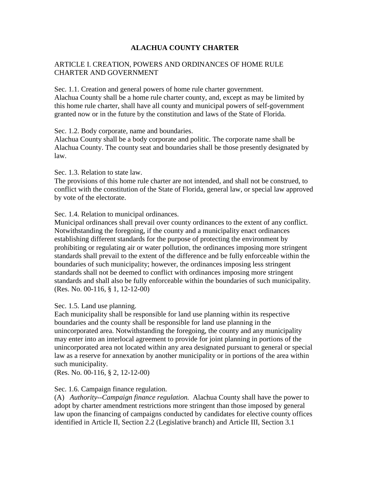## **ALACHUA COUNTY CHARTER**

### ARTICLE I. CREATION, POWERS AND ORDINANCES OF HOME RULE CHARTER AND GOVERNMENT

Sec. 1.1. Creation and general powers of home rule charter government. Alachua County shall be a home rule charter county, and, except as may be limited by this home rule charter, shall have all county and municipal powers of self-government granted now or in the future by the constitution and laws of the State of Florida.

Sec. 1.2. Body corporate, name and boundaries.

Alachua County shall be a body corporate and politic. The corporate name shall be Alachua County. The county seat and boundaries shall be those presently designated by law.

Sec. 1.3. Relation to state law.

The provisions of this home rule charter are not intended, and shall not be construed, to conflict with the constitution of the State of Florida, general law, or special law approved by vote of the electorate.

Sec. 1.4. Relation to municipal ordinances.

Municipal ordinances shall prevail over county ordinances to the extent of any conflict. Notwithstanding the foregoing, if the county and a municipality enact ordinances establishing different standards for the purpose of protecting the environment by prohibiting or regulating air or water pollution, the ordinances imposing more stringent standards shall prevail to the extent of the difference and be fully enforceable within the boundaries of such municipality; however, the ordinances imposing less stringent standards shall not be deemed to conflict with ordinances imposing more stringent standards and shall also be fully enforceable within the boundaries of such municipality. (Res. No. 00-116, § 1, 12-12-00)

Sec. 1.5. Land use planning.

Each municipality shall be responsible for land use planning within its respective boundaries and the county shall be responsible for land use planning in the unincorporated area. Notwithstanding the foregoing, the county and any municipality may enter into an interlocal agreement to provide for joint planning in portions of the unincorporated area not located within any area designated pursuant to general or special law as a reserve for annexation by another municipality or in portions of the area within such municipality.

(Res. No. 00-116, § 2, 12-12-00)

### Sec. 1.6. Campaign finance regulation.

(A) *Authority--Campaign finance regulation.* Alachua County shall have the power to adopt by charter amendment restrictions more stringent than those imposed by general law upon the financing of campaigns conducted by candidates for elective county offices identified in Article II, Section 2.2 (Legislative branch) and Article III, Section 3.1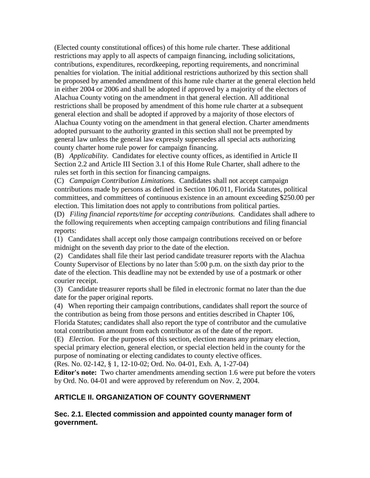(Elected county constitutional offices) of this home rule charter. These additional restrictions may apply to all aspects of campaign financing, including solicitations, contributions, expenditures, recordkeeping, reporting requirements, and noncriminal penalties for violation. The initial additional restrictions authorized by this section shall be proposed by amended amendment of this home rule charter at the general election held in either 2004 or 2006 and shall be adopted if approved by a majority of the electors of Alachua County voting on the amendment in that general election. All additional restrictions shall be proposed by amendment of this home rule charter at a subsequent general election and shall be adopted if approved by a majority of those electors of Alachua County voting on the amendment in that general election. Charter amendments adopted pursuant to the authority granted in this section shall not be preempted by general law unless the general law expressly supersedes all special acts authorizing county charter home rule power for campaign financing.

(B) *Applicability.* Candidates for elective county offices, as identified in Article II Section 2.2 and Article III Section 3.1 of this Home Rule Charter, shall adhere to the rules set forth in this section for financing campaigns.

(C) *Campaign Contribution Limitations.* Candidates shall not accept campaign contributions made by persons as defined in Section 106.011, Florida Statutes, political committees, and committees of continuous existence in an amount exceeding \$250.00 per election. This limitation does not apply to contributions from political parties.

(D) *Filing financial reports/time for accepting contributions.* Candidates shall adhere to the following requirements when accepting campaign contributions and filing financial reports:

(1) Candidates shall accept only those campaign contributions received on or before midnight on the seventh day prior to the date of the election.

(2) Candidates shall file their last period candidate treasurer reports with the Alachua County Supervisor of Elections by no later than 5:00 p.m. on the sixth day prior to the date of the election. This deadline may not be extended by use of a postmark or other courier receipt.

(3) Candidate treasurer reports shall be filed in electronic format no later than the due date for the paper original reports.

(4) When reporting their campaign contributions, candidates shall report the source of the contribution as being from those persons and entities described in Chapter 106, Florida Statutes; candidates shall also report the type of contributor and the cumulative total contribution amount from each contributor as of the date of the report.

(E) *Election.* For the purposes of this section, election means any primary election, special primary election, general election, or special election held in the county for the purpose of nominating or electing candidates to county elective offices.

(Res. No. 02-142, § 1, 12-10-02; Ord. No. 04-01, Exh. A, 1-27-04)

**Editor's note:** Two charter amendments amending section 1.6 were put before the voters by Ord. No. 04-01 and were approved by referendum on Nov. 2, 2004.

# **ARTICLE II. ORGANIZATION OF COUNTY GOVERNMENT**

**Sec. 2.1. Elected commission and appointed county manager form of government.**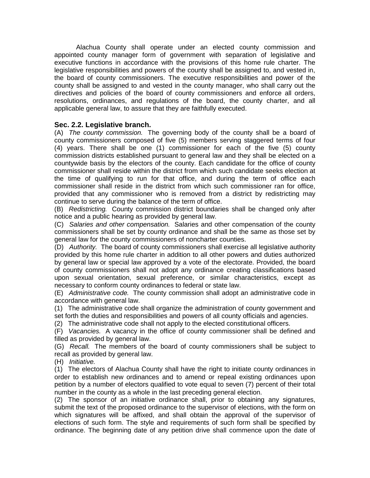Alachua County shall operate under an elected county commission and appointed county manager form of government with separation of legislative and executive functions in accordance with the provisions of this home rule charter. The legislative responsibilities and powers of the county shall be assigned to, and vested in, the board of county commissioners. The executive responsibilities and power of the county shall be assigned to and vested in the county manager, who shall carry out the directives and policies of the board of county commissioners and enforce all orders, resolutions, ordinances, and regulations of the board, the county charter, and all applicable general law, to assure that they are faithfully executed.

### **Sec. 2.2. Legislative branch.**

(A) *The county commission.* The governing body of the county shall be a board of county commissioners composed of five (5) members serving staggered terms of four (4) years. There shall be one (1) commissioner for each of the five (5) county commission districts established pursuant to general law and they shall be elected on a countywide basis by the electors of the county. Each candidate for the office of county commissioner shall reside within the district from which such candidate seeks election at the time of qualifying to run for that office, and during the term of office each commissioner shall reside in the district from which such commissioner ran for office, provided that any commissioner who is removed from a district by redistricting may continue to serve during the balance of the term of office.

(B) *Redistricting.* County commission district boundaries shall be changed only after notice and a public hearing as provided by general law.

(C) *Salaries and other compensation.* Salaries and other compensation of the county commissioners shall be set by county ordinance and shall be the same as those set by general law for the county commissioners of noncharter counties.

(D) *Authority.* The board of county commissioners shall exercise all legislative authority provided by this home rule charter in addition to all other powers and duties authorized by general law or special law approved by a vote of the electorate. Provided, the board of county commissioners shall not adopt any ordinance creating classifications based upon sexual orientation, sexual preference, or similar characteristics, except as necessary to conform county ordinances to federal or state law.

(E) *Administrative code.* The county commission shall adopt an administrative code in accordance with general law.

(1) The administrative code shall organize the administration of county government and set forth the duties and responsibilities and powers of all county officials and agencies.

(2) The administrative code shall not apply to the elected constitutional officers.

(F) *Vacancies.* A vacancy in the office of county commissioner shall be defined and filled as provided by general law.

(G) *Recall.* The members of the board of county commissioners shall be subject to recall as provided by general law.

(H) *Initiative.*

(1) The electors of Alachua County shall have the right to initiate county ordinances in order to establish new ordinances and to amend or repeal existing ordinances upon petition by a number of electors qualified to vote equal to seven (7) percent of their total number in the county as a whole in the last preceding general election.

(2) The sponsor of an initiative ordinance shall, prior to obtaining any signatures, submit the text of the proposed ordinance to the supervisor of elections, with the form on which signatures will be affixed, and shall obtain the approval of the supervisor of elections of such form. The style and requirements of such form shall be specified by ordinance. The beginning date of any petition drive shall commence upon the date of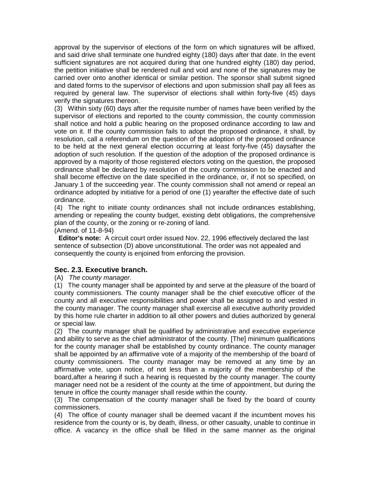approval by the supervisor of elections of the form on which signatures will be affixed, and said drive shall terminate one hundred eighty (180) days after that date. In the event sufficient signatures are not acquired during that one hundred eighty (180) day period, the petition initiative shall be rendered null and void and none of the signatures may be carried over onto another identical or similar petition. The sponsor shall submit signed and dated forms to the supervisor of elections and upon submission shall pay all fees as required by general law. The supervisor of elections shall within forty-five (45) days verify the signatures thereon.

(3) Within sixty (60) days after the requisite number of names have been verified by the supervisor of elections and reported to the county commission, the county commission shall notice and hold a public hearing on the proposed ordinance according to law and vote on it. If the county commission fails to adopt the proposed ordinance, it shall, by resolution, call a referendum on the question of the adoption of the proposed ordinance to be held at the next general election occurring at least forty-five (45) daysafter the adoption of such resolution. If the question of the adoption of the proposed ordinance is approved by a majority of those registered electors voting on the question, the proposed ordinance shall be declared by resolution of the county commission to be enacted and shall become effective on the date specified in the ordinance, or, if not so specified, on January 1 of the succeeding year. The county commission shall not amend or repeal an ordinance adopted by initiative for a period of one (1) yearafter the effective date of such ordinance.

(4) The right to initiate county ordinances shall not include ordinances establishing, amending or repealing the county budget, existing debt obligations, the comprehensive plan of the county, or the zoning or re-zoning of land.

(Amend. of 11-8-94)

**Editor's note:** A circuit court order issued Nov. 22, 1996 effectively declared the last sentence of subsection (D) above unconstitutional. The order was not appealed and consequently the county is enjoined from enforcing the provision.

## **Sec. 2.3. Executive branch.**

(A) *The county manager.*

(1) The county manager shall be appointed by and serve at the pleasure of the board of county commissioners. The county manager shall be the chief executive officer of the county and all executive responsibilities and power shall be assigned to and vested in the county manager. The county manager shall exercise all executive authority provided by this home rule charter in addition to all other powers and duties authorized by general or special law.

(2) The county manager shall be qualified by administrative and executive experience and ability to serve as the chief administrator of the county. [The] minimum qualifications for the county manager shall be established by county ordinance. The county manager shall be appointed by an affirmative vote of a majority of the membership of the board of county commissioners. The county manager may be removed at any time by an affirmative vote, upon notice, of not less than a majority of the membership of the board,after a hearing if such a hearing is requested by the county manager. The county manager need not be a resident of the county at the time of appointment, but during the tenure in office the county manager shall reside within the county.

(3) The compensation of the county manager shall be fixed by the board of county commissioners.

(4) The office of county manager shall be deemed vacant if the incumbent moves his residence from the county or is, by death, illness, or other casualty, unable to continue in office. A vacancy in the office shall be filled in the same manner as the original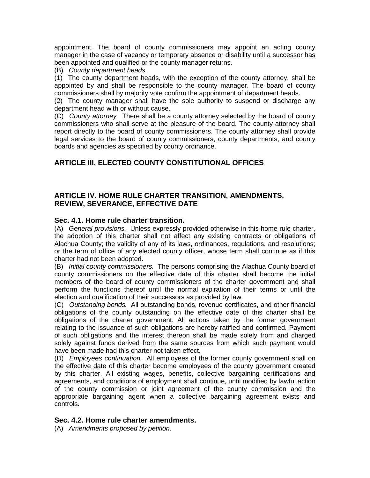appointment. The board of county commissioners may appoint an acting county manager in the case of vacancy or temporary absence or disability until a successor has been appointed and qualified or the county manager returns.

(B) *County department heads.*

(1) The county department heads, with the exception of the county attorney, shall be appointed by and shall be responsible to the county manager. The board of county commissioners shall by majority vote confirm the appointment of department heads.

(2) The county manager shall have the sole authority to suspend or discharge any department head with or without cause.

(C) *County attorney.* There shall be a county attorney selected by the board of county commissioners who shall serve at the pleasure of the board. The county attorney shall report directly to the board of county commissioners. The county attorney shall provide legal services to the board of county commissioners, county departments, and county boards and agencies as specified by county ordinance.

# **ARTICLE III. ELECTED COUNTY CONSTITUTIONAL OFFICES**

## **ARTICLE IV. HOME RULE CHARTER TRANSITION, AMENDMENTS, REVIEW, SEVERANCE, EFFECTIVE DATE**

#### **Sec. 4.1. Home rule charter transition.**

(A) *General provisions.* Unless expressly provided otherwise in this home rule charter, the adoption of this charter shall not affect any existing contracts or obligations of Alachua County; the validity of any of its laws, ordinances, regulations, and resolutions; or the term of office of any elected county officer, whose term shall continue as if this charter had not been adopted.

(B) *Initial county commissioners.* The persons comprising the Alachua County board of county commissioners on the effective date of this charter shall become the initial members of the board of county commissioners of the charter government and shall perform the functions thereof until the normal expiration of their terms or until the election and qualification of their successors as provided by law.

(C) *Outstanding bonds.* All outstanding bonds, revenue certificates, and other financial obligations of the county outstanding on the effective date of this charter shall be obligations of the charter government. All actions taken by the former government relating to the issuance of such obligations are hereby ratified and confirmed. Payment of such obligations and the interest thereon shall be made solely from and charged solely against funds derived from the same sources from which such payment would have been made had this charter not taken effect.

(D) *Employees continuation.* All employees of the former county government shall on the effective date of this charter become employees of the county government created by this charter. All existing wages, benefits, collective bargaining certifications and agreements, and conditions of employment shall continue, until modified by lawful action of the county commission or joint agreement of the county commission and the appropriate bargaining agent when a collective bargaining agreement exists and controls.

### **Sec. 4.2. Home rule charter amendments.**

(A) *Amendments proposed by petition.*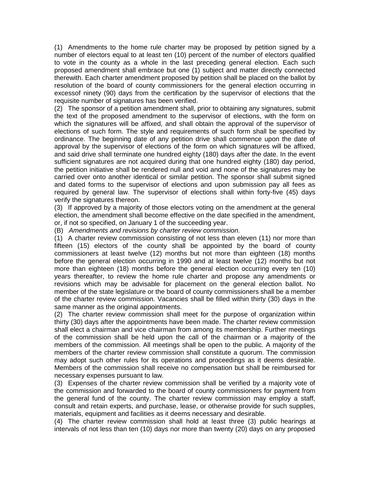(1) Amendments to the home rule charter may be proposed by petition signed by a number of electors equal to at least ten (10) percent of the number of electors qualified to vote in the county as a whole in the last preceding general election. Each such proposed amendment shall embrace but one (1) subject and matter directly connected therewith. Each charter amendment proposed by petition shall be placed on the ballot by resolution of the board of county commissioners for the general election occurring in excessof ninety (90) days from the certification by the supervisor of elections that the requisite number of signatures has been verified.

(2) The sponsor of a petition amendment shall, prior to obtaining any signatures, submit the text of the proposed amendment to the supervisor of elections, with the form on which the signatures will be affixed, and shall obtain the approval of the supervisor of elections of such form. The style and requirements of such form shall be specified by ordinance. The beginning date of any petition drive shall commence upon the date of approval by the supervisor of elections of the form on which signatures will be affixed, and said drive shall terminate one hundred eighty (180) days after the date. In the event sufficient signatures are not acquired during that one hundred eighty (180) day period, the petition initiative shall be rendered null and void and none of the signatures may be carried over onto another identical or similar petition. The sponsor shall submit signed and dated forms to the supervisor of elections and upon submission pay all fees as required by general law. The supervisor of elections shall within forty-five (45) days verify the signatures thereon.

(3) If approved by a majority of those electors voting on the amendment at the general election, the amendment shall become effective on the date specified in the amendment, or, if not so specified, on January 1 of the succeeding year.

(B) *Amendments and revisions by charter review commission.*

(1) A charter review commission consisting of not less than eleven (11) nor more than fifteen (15) electors of the county shall be appointed by the board of county commissioners at least twelve (12) months but not more than eighteen (18) months before the general election occurring in 1990 and at least twelve (12) months but not more than eighteen (18) months before the general election occurring every ten (10) years thereafter, to review the home rule charter and propose any amendments or revisions which may be advisable for placement on the general election ballot. No member of the state legislature or the board of county commissioners shall be a member of the charter review commission. Vacancies shall be filled within thirty (30) days in the same manner as the original appointments.

(2) The charter review commission shall meet for the purpose of organization within thirty (30) days after the appointments have been made. The charter review commission shall elect a chairman and vice chairman from among its membership. Further meetings of the commission shall be held upon the call of the chairman or a majority of the members of the commission. All meetings shall be open to the public. A majority of the members of the charter review commission shall constitute a quorum. The commission may adopt such other rules for its operations and proceedings as it deems desirable. Members of the commission shall receive no compensation but shall be reimbursed for necessary expenses pursuant to law.

(3) Expenses of the charter review commission shall be verified by a majority vote of the commission and forwarded to the board of county commissioners for payment from the general fund of the county. The charter review commission may employ a staff, consult and retain experts, and purchase, lease, or otherwise provide for such supplies, materials, equipment and facilities as it deems necessary and desirable.

(4) The charter review commission shall hold at least three (3) public hearings at intervals of not less than ten (10) days nor more than twenty (20) days on any proposed